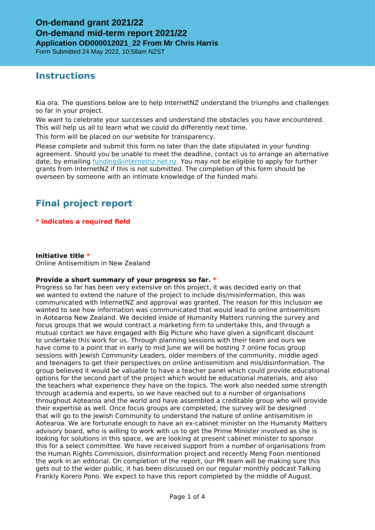Form Submitted 24 May 2022, 10:58am NZST

### **Instructions**

Kia ora. The questions below are to help InternetNZ understand the triumphs and challenges so far in your project.

We want to celebrate your successes and understand the obstacles you have encountered. This will help us all to learn what we could do differently next time.

This form will be placed on our website for transparency.

Please complete and submit this form no later than the date stipulated in your funding agreement. Should you be unable to meet the deadline, contact us to arrange an alternative date, by emailing [funding@internetnz.net.nz.](mailto:funding@internetnz.net.nz) You may not be eligible to apply for further grants from InternetNZ if this is not submitted. The completion of this form should be overseen by someone with an intimate knowledge of the funded mahi.

# **Final project report**

### **\* indicates a required field**

**Initiative title \*** Online Antisemitism in New Zealand

### **Provide a short summary of your progress so far. \***

Progress so far has been very extensive on this project, it was decided early on that we wanted to extend the nature of the project to include dis/misinformation, this was communicated with InternetNZ and approval was granted. The reason for this inclusion we wanted to see how information was communicated that would lead to online antisemitism in Aotearoa New Zealand. We decided inside of Humanity Matters running the survey and focus groups that we would contract a marketing firm to undertake this, and through a mutual contact we have engaged with Big Picture who have given a significant discount to undertake this work for us. Through planning sessions with their team and ours we have come to a point that in early to mid June we will be hosting 7 online focus group sessions with Jewish Community Leaders, older members of the community, middle aged and teenagers to get their perspectives on online antisemitism and mis/disinformation. The group believed it would be valuable to have a teacher panel which could provide educational options for the second part of the project which would be educational materials, and also the teachers what experience they have on the topics. The work also needed some strength through academia and experts, so we have reached out to a number of organisations throughout Aotearoa and the world and have assembled a creditable group who will provide their expertise as well. Once focus groups are completed, the survey will be designed that will go to the Jewish Community to understand the nature of online antisemitism in Aotearoa. We are fortunate enough to have an ex-cabinet minister on the Humanity Matters advisory board, who is willing to work with us to get the Prime Minister involved as she is looking for solutions in this space, we are looking at present cabinet minister to sponsor this for a select committee. We have received support from a number of organisations from the Human Rights Commission, disinformation project and recently Meng Foon mentioned the work in an editorial. On completion of the report, our PR team will be making sure this gets out to the wider public, it has been discussed on our regular monthly podcast Talking Frankly Korero Pono. We expect to have this report completed by the middle of August.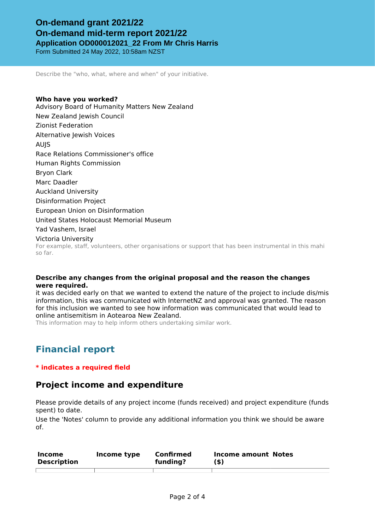Form Submitted 24 May 2022, 10:58am NZST

Describe the "who, what, where and when" of your initiative.

**Who have you worked?** Advisory Board of Humanity Matters New Zealand New Zealand Jewish Council Zionist Federation Alternative Jewish Voices AUJS Race Relations Commissioner's office Human Rights Commission Bryon Clark Marc Daadler Auckland University Disinformation Project European Union on Disinformation United States Holocaust Memorial Museum Yad Vashem, Israel Victoria University For example, staff, volunteers, other organisations or support that has been instrumental in this mahi so far.

### **Describe any changes from the original proposal and the reason the changes were required.**

it was decided early on that we wanted to extend the nature of the project to include dis/mis information, this was communicated with InternetNZ and approval was granted. The reason for this inclusion we wanted to see how information was communicated that would lead to online antisemitism in Aotearoa New Zealand.

This information may to help inform others undertaking similar work.

# **Financial report**

### **\* indicates a required field**

### **Project income and expenditure**

Please provide details of any project income (funds received) and project expenditure (funds spent) to date.

Use the 'Notes' column to provide any additional information you think we should be aware of.

| Income<br><b>Description</b> | Income type | Confirmed<br>funding? | Income amount Notes<br>(\$) |  |
|------------------------------|-------------|-----------------------|-----------------------------|--|
|                              |             |                       |                             |  |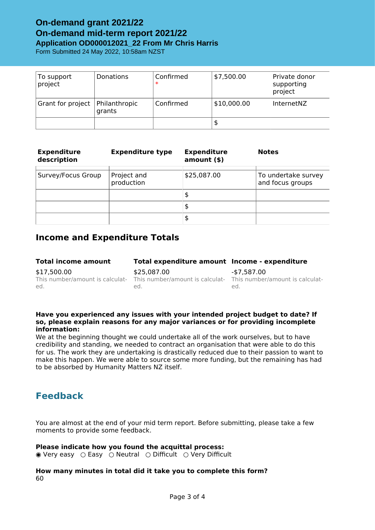Form Submitted 24 May 2022, 10:58am NZST

| To support<br>project | Donations               | Confirmed<br>$\ast$ | \$7,500.00  | Private donor<br>supporting<br>project |
|-----------------------|-------------------------|---------------------|-------------|----------------------------------------|
| Grant for project     | Philanthropic<br>grants | Confirmed           | \$10,000.00 | <b>InternetNZ</b>                      |
|                       |                         |                     | \$          |                                        |

| <b>Expenditure</b><br>description | <b>Expenditure type</b>   | <b>Expenditure</b><br>amount() | <b>Notes</b>                            |
|-----------------------------------|---------------------------|--------------------------------|-----------------------------------------|
| Survey/Focus Group                | Project and<br>production | \$25,087.00                    | To undertake survey<br>and focus groups |
|                                   |                           | \$                             |                                         |
|                                   |                           | \$                             |                                         |
|                                   |                           | \$                             |                                         |

### **Income and Expenditure Totals**

| <b>Total income amount</b> | Total expenditure amount Income - expenditure                                                          |             |
|----------------------------|--------------------------------------------------------------------------------------------------------|-------------|
| \$17,500.00                | \$25,087,00                                                                                            | -\$7.587.00 |
| ed.                        | This number/amount is calculat- This number/amount is calculat- This number/amount is calculat-<br>ed. | ed.         |

#### **Have you experienced any issues with your intended project budget to date? If so, please explain reasons for any major variances or for providing incomplete information:**

We at the beginning thought we could undertake all of the work ourselves, but to have credibility and standing, we needed to contract an organisation that were able to do this for us. The work they are undertaking is drastically reduced due to their passion to want to make this happen. We were able to source some more funding, but the remaining has had to be absorbed by Humanity Matters NZ itself.

## **Feedback**

You are almost at the end of your mid term report. Before submitting, please take a few moments to provide some feedback.

### **Please indicate how you found the acquittal process:**

◉ Very easy ○ Easy ○ Neutral ○ Difficult ○ Very Difficult

### **How many minutes in total did it take you to complete this form?** 60